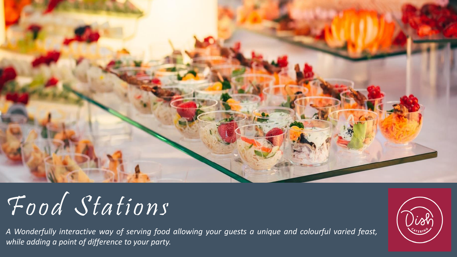

# Food Stations

*A Wonderfully interactive way of serving food allowing your guests a unique and colourful varied feast, while adding a point of difference to your party.*

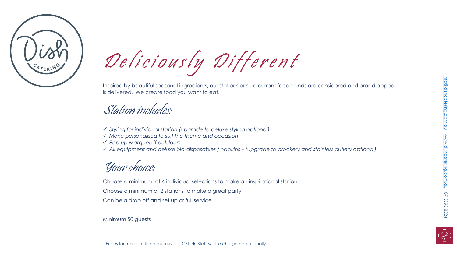

Deliciously Different

Inspired by beautiful seasonal ingredients, our stations ensure current food trends are considered and broad appeal is delivered. We create food you want to eat.

# Station includes:

- *Styling for individual station (upgrade to deluxe styling optional)*
- *Menu personalised to suit the theme and occasion*
- *Pop up Marquee if outdoors*
- *All equipment and deluxe bio-disposables / napkins – (upgrade to crockery and stainless cutlery optional)*

Your choice:

Choose a minimum of 4 individual selections to make an inspirational station

Choose a minimum of 2 stations to make a great party

Can be a drop off and set up or full service.

Minimum 50 guests

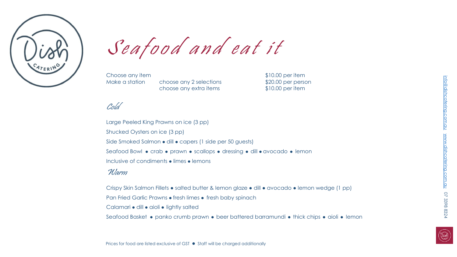

 $\int e$  a food and eat it<br>Choose any item<br>Make a station choose any 2 selections<br>choose any extra items \$10.00 per person

Choose any item

choose any 2 selections choose any extra items

# Cold

Large Peeled King Prawns on ice (3 pp) Shucked Oysters on ice (3 pp) Side Smoked Salmon • dill • capers (1 side per 50 guests) Seafood Bowl • crab • prawn • scallops • dressing • dill • avocado • lemon Inclusive of condiments • limes • lemons Warm

Crispy Skin Salmon Fillets ● salted butter & lemon glaze ● dill ● avocado ● lemon wedge (1 pp)

Pan Fried Garlic Prawns • fresh limes • fresh baby spinach

Calamari · dill · aioli · lightly salted

Seafood Basket • panko crumb prawn • beer battered barramundi • thick chips • aioli • lemon

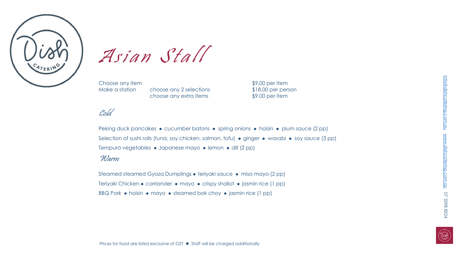

 $\mathcal{A}$  s **i**  $a$  **n**  $\mathcal{S}$  t  $a$  l l  $\mathcal{S}$  choose any item choose any 2 selections

Choose any item  $$9.00$  per item

choose any 2 selections \$18.00 per person choose any extra items \$9.00 per item

# Cold

Peking duck pancakes • cucumber batons • spring onions • hoisin • plum sauce (2 pp) Selection of sushi rolls (tuna, soy chicken, salmon, tofu) • ginger • wasabi • soy sauce (3 pp) Tempura vegetables • Japanese mayo • lemon • dill (2 pp)

#### Warm

Steamed steamed Gyoza Dumplings • teriyaki sauce • miso mayo (2 pp) Teriyaki Chicken • corriander • mayo • crispy shallot • jasmin rice (1 pp) BBQ Pork  $\bullet$  hoisin  $\bullet$  mayo  $\bullet$  steamed bok choy  $\bullet$  jasmin rice (1 pp)

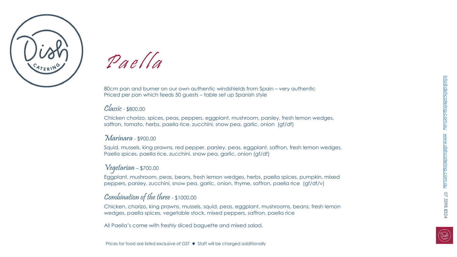



Paella

80cm pan and burner on our own authentic windshields from Spain – very authentic Priced per pan which feeds 50 guests – table set up Spanish style

### Classic - \$800.00

Chicken chorizo, spices, peas, peppers, eggplant, mushroom, parsley, fresh lemon wedges, saffron, tomato, herbs, paella rice, zucchini, snow pea, garlic, onion (gf/df)

#### Marinara- \$900.00

Squid, mussels, king prawns, red pepper, parsley, peas, eggplant, saffron, fresh lemon wedges, Paella spices, paella rice, zucchini, snow pea, garlic, onion (gf/df)

## Vegetarian – \$700.00

Eggplant, mushroom, peas, beans, fresh lemon wedges, herbs, paella spices, pumpkin, mixed peppers, parsley, zucchini, snow pea, garlic, onion, thyme, saffron, paella rice (gf/df/v)

# Combination of the three - \$1000.00

Chicken, chorizo, king prawns, mussels, squid, peas, eggplant, mushrooms, beans, fresh lemon wedges, paella spices, vegetable stock, mixed peppers, saffron, paella rice

All Paella's come with freshly sliced baguette and mixed salad.

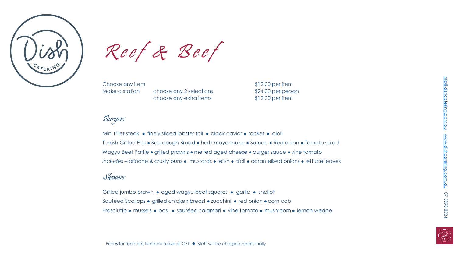

 $\mathcal{R}$ e e  $f$   $\mathcal{R}$   $\mathcal{B}$ e e  $f$ <br>Choose any item<br>Make a station choose any 2 selections

Choose any item  $$12.00$  per item choose any 2 selections \$24.00 per person choose any extra items \$12.00 per item

# Burgers

Mini Fillet steak • finely sliced lobster tail • black caviar • rocket • aioli Turkish Grilled Fish • Sourdough Bread • herb mayonnaise • Sumac • Red onion • Tomato salad Wagyu Beef Pattie • grilled prawns • melted aged cheese • burger sauce • vine tomato *Includes* – brioche & crusty buns • mustards • relish • aioli • caramelised onions • lettuce leaves

# Skewers

Grilled jumbo prawn • aged wagyu beef squares • garlic • shallot Sautéed Scallops • grilled chicken breast • zucchini • red onion • corn cob Prosciutto • mussels • basil • sautéed calamari • vine tomato • mushroom • lemon wedge

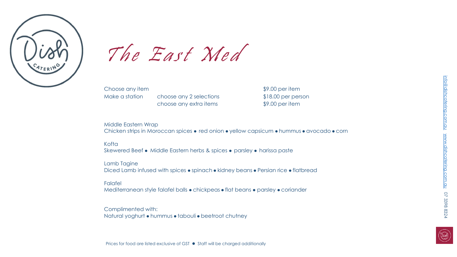

# The East  $X$ ed

Choose any item  $$9.00$  per item

choose any 2 selections \$18.00 per person choose any extra items \$9.00 per item

Middle Eastern Wrap Chicken strips in Moroccan spices • red onion • yellow capsicum • hummus • avocado • corn

#### Kofta

Skewered Beef • Middle Eastern herbs & spices • parsley • harissa paste

#### Lamb Tagine

Diced Lamb infused with spices • spinach • kidney beans • Persian rice • flatbread

#### Falafel

Mediterranean style falafel balls • chickpeas • flat beans • parsley • coriander

#### Complimented with:

Natural yoghurt • hummus • tabouli • beetroot chutney

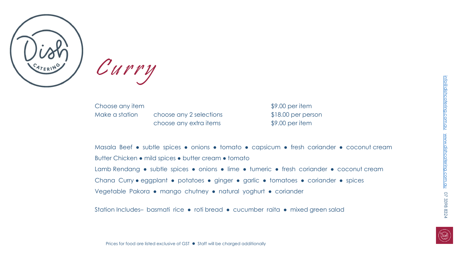

 $\mathcal{C}$   $\mathcal{U}$   $\mathcal{V}$   $\mathcal{V}$   $\mathcal{V}$ <br>Choose any item<br>Make a station

Choose any item  $$9.00$  per item

choose any 2 selections \$18.00 per person choose any extra items \$9.00 per item

Masala Beef • subtle spices • onions • tomato • capsicum • fresh coriander • coconut cream Butter Chicken ● mild spices ● butter cream ● tomato Lamb Rendang • subtle spices • onions • lime • tumeric • fresh coriander • coconut cream Chana Curry ● eggplant ● potatoes ● ginger ● garlic ● tomatoes ● coriander ● spices Vegetable Pakora ● mango chutney ● natural yoghurt ● coriander

Station Includes- basmati rice • roti bread • cucumber raita • mixed green salad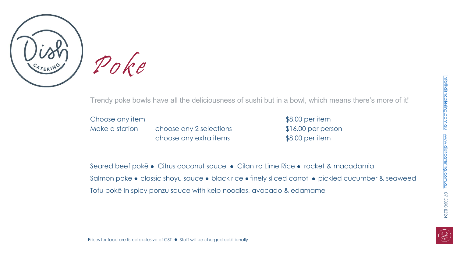

**Poke**<br>Trendy poke bowl:<br>Choose any item<br>Make a station

Trendy poke bowls have all the deliciousness of sushi but in a bowl, which means there's more of it!

Choose any item  $$8.00\text{ per item}$ 

choose any 2 selections \$16.00 per person choose any extra items \$8.00 per item

Seared beef poke • Citrus coconut sauce • Cilantro Lime Rice • rocket & macadamia Salmon pokē • classic shoyu sauce • black rice • finely sliced carrot • pickled cucumber & seaweed Tofu pokē In spicy ponzu sauce with kelp noodles, avocado & edamame